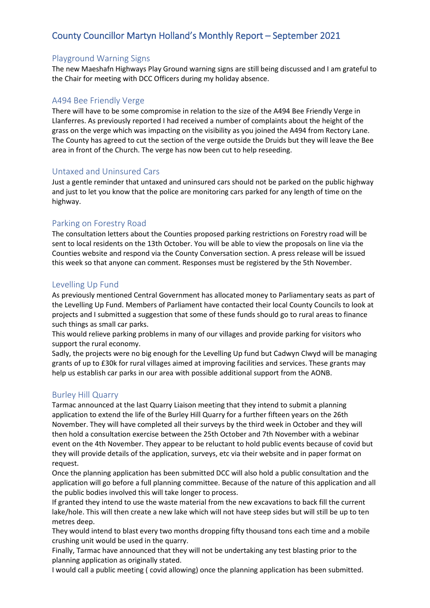# County Councillor Martyn Holland's Monthly Report – September 2021

## Playground Warning Signs

The new Maeshafn Highways Play Ground warning signs are still being discussed and I am grateful to the Chair for meeting with DCC Officers during my holiday absence.

## A494 Bee Friendly Verge

There will have to be some compromise in relation to the size of the A494 Bee Friendly Verge in Llanferres. As previously reported I had received a number of complaints about the height of the grass on the verge which was impacting on the visibility as you joined the A494 from Rectory Lane. The County has agreed to cut the section of the verge outside the Druids but they will leave the Bee area in front of the Church. The verge has now been cut to help reseeding.

## Untaxed and Uninsured Cars

Just a gentle reminder that untaxed and uninsured cars should not be parked on the public highway and just to let you know that the police are monitoring cars parked for any length of time on the highway.

## Parking on Forestry Road

The consultation letters about the Counties proposed parking restrictions on Forestry road will be sent to local residents on the 13th October. You will be able to view the proposals on line via the Counties website and respond via the County Conversation section. A press release will be issued this week so that anyone can comment. Responses must be registered by the 5th November.

#### Levelling Up Fund

As previously mentioned Central Government has allocated money to Parliamentary seats as part of the Levelling Up Fund. Members of Parliament have contacted their local County Councils to look at projects and I submitted a suggestion that some of these funds should go to rural areas to finance such things as small car parks.

This would relieve parking problems in many of our villages and provide parking for visitors who support the rural economy.

Sadly, the projects were no big enough for the Levelling Up fund but Cadwyn Clwyd will be managing grants of up to £30k for rural villages aimed at improving facilities and services. These grants may help us establish car parks in our area with possible additional support from the AONB.

#### Burley Hill Quarry

Tarmac announced at the last Quarry Liaison meeting that they intend to submit a planning application to extend the life of the Burley Hill Quarry for a further fifteen years on the 26th November. They will have completed all their surveys by the third week in October and they will then hold a consultation exercise between the 25th October and 7th November with a webinar event on the 4th November. They appear to be reluctant to hold public events because of covid but they will provide details of the application, surveys, etc via their website and in paper format on request.

Once the planning application has been submitted DCC will also hold a public consultation and the application will go before a full planning committee. Because of the nature of this application and all the public bodies involved this will take longer to process.

If granted they intend to use the waste material from the new excavations to back fill the current lake/hole. This will then create a new lake which will not have steep sides but will still be up to ten metres deep.

They would intend to blast every two months dropping fifty thousand tons each time and a mobile crushing unit would be used in the quarry.

Finally, Tarmac have announced that they will not be undertaking any test blasting prior to the planning application as originally stated.

I would call a public meeting ( covid allowing) once the planning application has been submitted.